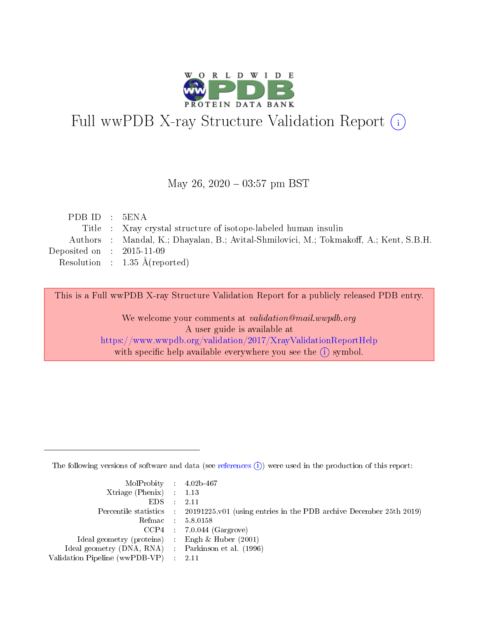

# Full wwPDB X-ray Structure Validation Report (i)

### May 26,  $2020 - 03:57$  pm BST

| PDB ID : 5ENA               |                                                                                        |
|-----------------------------|----------------------------------------------------------------------------------------|
|                             | Title : Xray crystal structure of isotope-labeled human insulin                        |
|                             | Authors : Mandal, K.; Dhayalan, B.; Avital-Shmilovici, M.; Tokmakoff, A.; Kent, S.B.H. |
| Deposited on : $2015-11-09$ |                                                                                        |
|                             | Resolution : $1.35 \text{ Å}$ (reported)                                               |
|                             |                                                                                        |

This is a Full wwPDB X-ray Structure Validation Report for a publicly released PDB entry.

We welcome your comments at validation@mail.wwpdb.org A user guide is available at <https://www.wwpdb.org/validation/2017/XrayValidationReportHelp> with specific help available everywhere you see the  $(i)$  symbol.

The following versions of software and data (see [references](https://www.wwpdb.org/validation/2017/XrayValidationReportHelp#references)  $(i)$ ) were used in the production of this report:

| $MolProbability$ 4.02b-467                          |                                                                                            |
|-----------------------------------------------------|--------------------------------------------------------------------------------------------|
| Xtriage (Phenix) $: 1.13$                           |                                                                                            |
| $EDS$ :                                             | -2.11                                                                                      |
|                                                     | Percentile statistics : 20191225.v01 (using entries in the PDB archive December 25th 2019) |
|                                                     | Refmac : 5.8.0158                                                                          |
|                                                     | $CCP4$ : 7.0.044 (Gargrove)                                                                |
| Ideal geometry (proteins) : Engh $\&$ Huber (2001)  |                                                                                            |
| Ideal geometry (DNA, RNA) : Parkinson et al. (1996) |                                                                                            |
| Validation Pipeline (wwPDB-VP)                      | -2.11                                                                                      |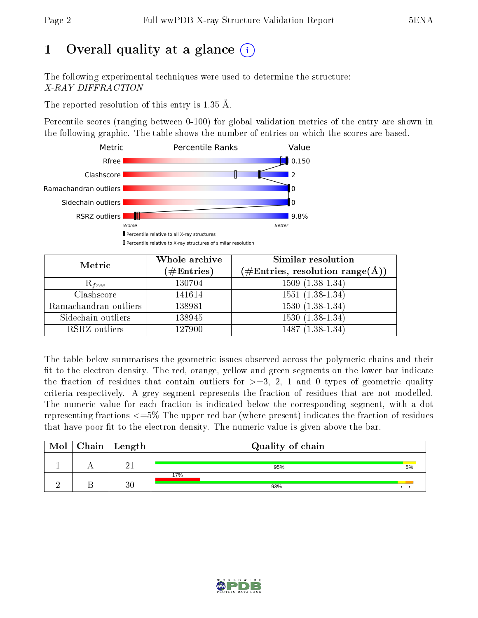# 1 [O](https://www.wwpdb.org/validation/2017/XrayValidationReportHelp#overall_quality)verall quality at a glance  $(i)$

The following experimental techniques were used to determine the structure: X-RAY DIFFRACTION

The reported resolution of this entry is 1.35 Å.

Percentile scores (ranging between 0-100) for global validation metrics of the entry are shown in the following graphic. The table shows the number of entries on which the scores are based.



| Metric                | Whole archive<br>$(\#Entries)$ | Similar resolution<br>$(\#\text{Entries}, \text{resolution range}(\text{\AA}))$ |
|-----------------------|--------------------------------|---------------------------------------------------------------------------------|
| $R_{free}$            | 130704                         | $1509(1.38-1.34)$                                                               |
| Clashscore            | 141614                         | $1551(1.38-1.34)$                                                               |
| Ramachandran outliers | 138981                         | $\overline{1530}$ $(1.38-1.34)$                                                 |
| Sidechain outliers    | 138945                         | $1530(1.38-1.34)$                                                               |
| RSRZ outliers         | 127900                         | $1487(1.38-1.34)$                                                               |

The table below summarises the geometric issues observed across the polymeric chains and their fit to the electron density. The red, orange, yellow and green segments on the lower bar indicate the fraction of residues that contain outliers for  $>=3, 2, 1$  and 0 types of geometric quality criteria respectively. A grey segment represents the fraction of residues that are not modelled. The numeric value for each fraction is indicated below the corresponding segment, with a dot representing fractions <=5% The upper red bar (where present) indicates the fraction of residues that have poor fit to the electron density. The numeric value is given above the bar.

| Mol | Chain   Length | Quality of chain |    |
|-----|----------------|------------------|----|
|     |                | 95%              | 5% |
|     | $\Omega$       | 17%<br>93%       | -  |

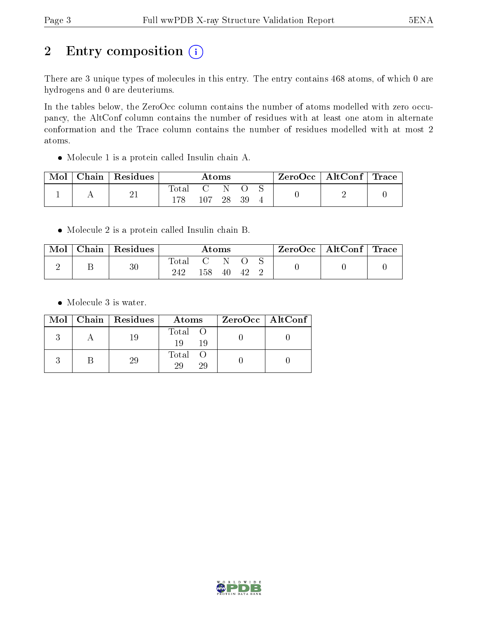# 2 Entry composition (i)

There are 3 unique types of molecules in this entry. The entry contains 468 atoms, of which 0 are hydrogens and 0 are deuteriums.

In the tables below, the ZeroOcc column contains the number of atoms modelled with zero occupancy, the AltConf column contains the number of residues with at least one atom in alternate conformation and the Trace column contains the number of residues modelled with at most 2 atoms.

Molecule 1 is a protein called Insulin chain A.

| Mol | $\mid$ Chain $\mid$ Residues | Atoms |     |  | ZeroOcc   AltConf   Trace |  |  |  |
|-----|------------------------------|-------|-----|--|---------------------------|--|--|--|
|     | -21                          | Total | 107 |  | 39                        |  |  |  |

Molecule 2 is a protein called Insulin chain B.

| Mol | Chain   Residues | $\rm{Atoms}$   |     |    | $\text{ZeroOcc} \mid \text{AltConf} \mid \text{Trace}$ |  |  |  |
|-----|------------------|----------------|-----|----|--------------------------------------------------------|--|--|--|
|     | 30               | Total C<br>242 | 158 | 40 | 42                                                     |  |  |  |

• Molecule 3 is water.

|  | $Mol$   Chain   Residues | Atoms               | $ZeroOcc \mid AltConf \mid$ |
|--|--------------------------|---------------------|-----------------------------|
|  | 19                       | Total O<br>19<br>19 |                             |
|  | 29                       | Total O<br>29<br>29 |                             |

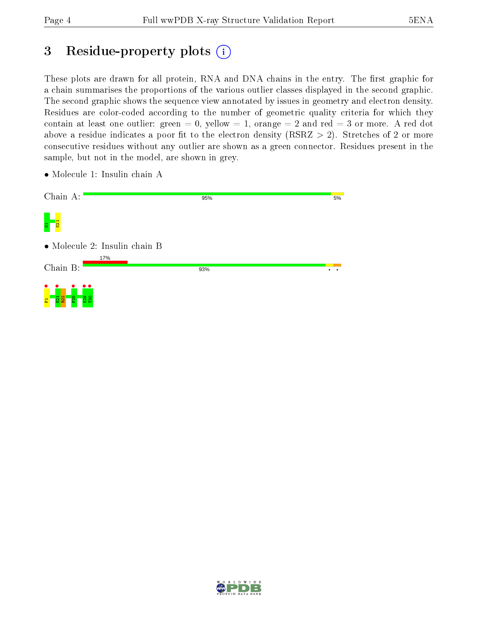# 3 Residue-property plots  $(i)$

These plots are drawn for all protein, RNA and DNA chains in the entry. The first graphic for a chain summarises the proportions of the various outlier classes displayed in the second graphic. The second graphic shows the sequence view annotated by issues in geometry and electron density. Residues are color-coded according to the number of geometric quality criteria for which they contain at least one outlier: green  $= 0$ , yellow  $= 1$ , orange  $= 2$  and red  $= 3$  or more. A red dot above a residue indicates a poor fit to the electron density (RSRZ  $> 2$ ). Stretches of 2 or more consecutive residues without any outlier are shown as a green connector. Residues present in the sample, but not in the model, are shown in grey.

5%

- Chain A: 95% g<br><mark>G 1</mark>21<br><mark>G</mark> 121 • Molecule 2: Insulin chain B 17% Chain B: 93%  $\overline{\cdot}$  . F1 • E21 • R22 F25 •  $\frac{\bullet}{\mathbb{S}}$ T30 •
- Molecule 1: Insulin chain A

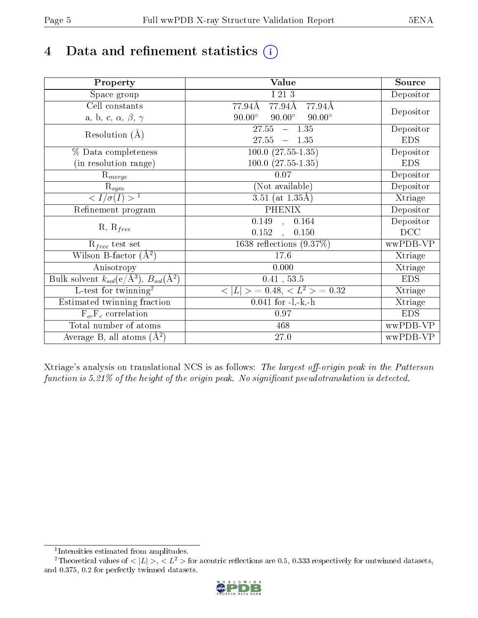# 4 Data and refinement statistics  $(i)$

| Property                                                             | Value                                           | Source     |
|----------------------------------------------------------------------|-------------------------------------------------|------------|
| $\overline{S}$ pace group                                            | I 21 3                                          | Depositor  |
| Cell constants                                                       | 77.94Å<br>77.94Å<br>77.94Å                      |            |
| a, b, c, $\alpha$ , $\beta$ , $\gamma$                               | $90.00^\circ$<br>$90.00^\circ$<br>$90.00^\circ$ | Depositor  |
| Resolution $(A)$                                                     | 27.55<br>$-1.35$                                | Depositor  |
|                                                                      | 27.55<br>$-1.35$                                | <b>EDS</b> |
| % Data completeness                                                  | $\overline{100.0 (27.55-1.35)}$                 | Depositor  |
| (in resolution range)                                                | $100.0$ $(27.55-1.35)$                          | <b>EDS</b> |
| $R_{merge}$                                                          | $0.07\,$                                        | Depositor  |
| $\mathrm{R}_{sym}$                                                   | (Not available)                                 | Depositor  |
| $\sqrt{I/\sigma(I)} > 1$                                             | 3.51 (at $1.35\text{\AA}$ )                     | Xtriage    |
| Refinement program                                                   | <b>PHENIX</b>                                   | Depositor  |
|                                                                      | $\overline{0.149}$ ,<br>0.164                   | Depositor  |
| $R, R_{free}$                                                        | 0.152<br>0.150<br>$\mathbf{r}$                  | DCC        |
| $\mathcal{R}_{free}$ test set                                        | 1638 reflections $(9.37\%)$                     | wwPDB-VP   |
| Wilson B-factor $(A^2)$                                              | 17.6                                            | Xtriage    |
| Anisotropy                                                           | 0.000                                           | Xtriage    |
| Bulk solvent $k_{sol}(e/\mathring{A}^3)$ , $B_{sol}(\mathring{A}^2)$ | $0.41$ , 53.5                                   | <b>EDS</b> |
| L-test for twinning <sup>2</sup>                                     | $< L >$ = 0.48, $< L2$ = 0.32                   | Xtriage    |
| Estimated twinning fraction                                          | $0.041$ for $-l,-k,-h$                          | Xtriage    |
| $F_o, F_c$ correlation                                               | 0.97                                            | <b>EDS</b> |
| Total number of atoms                                                | 468                                             | wwPDB-VP   |
| Average B, all atoms $(A^2)$                                         | 27.0                                            | wwPDB-VP   |

Xtriage's analysis on translational NCS is as follows: The largest off-origin peak in the Patterson function is  $5.21\%$  of the height of the origin peak. No significant pseudotranslation is detected.

<sup>&</sup>lt;sup>2</sup>Theoretical values of  $\langle |L| \rangle$ ,  $\langle L^2 \rangle$  for acentric reflections are 0.5, 0.333 respectively for untwinned datasets, and 0.375, 0.2 for perfectly twinned datasets.



<span id="page-4-1"></span><span id="page-4-0"></span><sup>1</sup> Intensities estimated from amplitudes.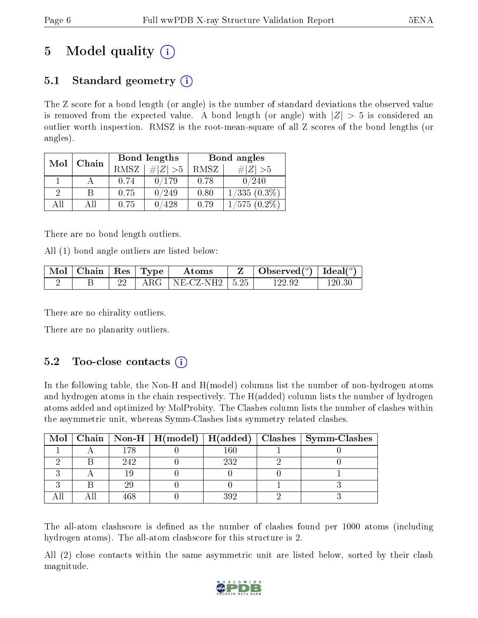# 5 Model quality  $(i)$

## 5.1 Standard geometry  $\overline{()}$

The Z score for a bond length (or angle) is the number of standard deviations the observed value is removed from the expected value. A bond length (or angle) with  $|Z| > 5$  is considered an outlier worth inspection. RMSZ is the root-mean-square of all Z scores of the bond lengths (or angles).

| Mol | Chain |      | Bond lengths | Bond angles |                |  |
|-----|-------|------|--------------|-------------|----------------|--|
|     |       | RMSZ | $\ Z\  > 5$  | RMSZ        | $\# Z  > 5$    |  |
|     |       | 0.74 | 0/179        | 0.78        | 0/240          |  |
| 9   | В     | 0.75 | 0/249        | 0.80        | $1/335(0.3\%)$ |  |
| AΠ  | АH    | 0.75 | 428          | 0.79        | $1/575(0.2\%)$ |  |

There are no bond length outliers.

All (1) bond angle outliers are listed below:

| $Mol$   Chain   Res   Type |  | Atoms                    | Observed( $^o$ )   Ideal( $^o$ ) |        |
|----------------------------|--|--------------------------|----------------------------------|--------|
|                            |  | ARG   NE-CZ-NH2   $5.25$ | 122.92                           | 120 30 |

There are no chirality outliers.

There are no planarity outliers.

## 5.2 Too-close contacts  $(i)$

In the following table, the Non-H and H(model) columns list the number of non-hydrogen atoms and hydrogen atoms in the chain respectively. The H(added) column lists the number of hydrogen atoms added and optimized by MolProbity. The Clashes column lists the number of clashes within the asymmetric unit, whereas Symm-Clashes lists symmetry related clashes.

|  |     |     | Mol   Chain   Non-H   H(model)   H(added)   Clashes   Symm-Clashes |
|--|-----|-----|--------------------------------------------------------------------|
|  | 178 | .60 |                                                                    |
|  | 242 | 232 |                                                                    |
|  |     |     |                                                                    |
|  |     |     |                                                                    |
|  |     | २०१ |                                                                    |

The all-atom clashscore is defined as the number of clashes found per 1000 atoms (including hydrogen atoms). The all-atom clashscore for this structure is 2.

All (2) close contacts within the same asymmetric unit are listed below, sorted by their clash magnitude.

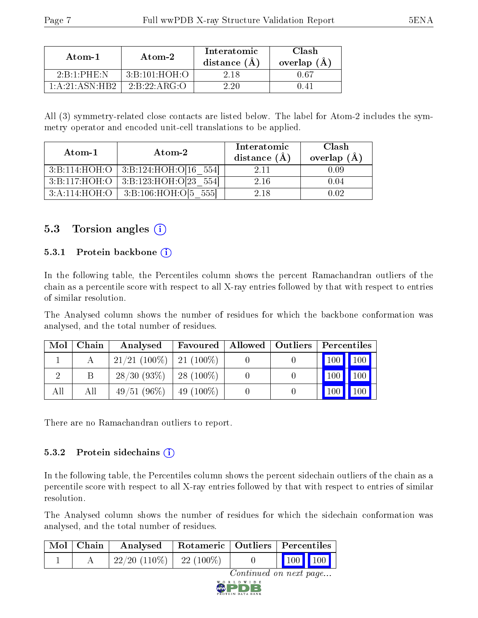| Atom-1                                | Atom-2            | Interatomic<br>distance $(A)$ | Clash<br>overlap $(A)$ |  |
|---------------------------------------|-------------------|-------------------------------|------------------------|--|
| $2 \cdot B \cdot 1 \cdot PHE \cdot N$ | 3: B: 101: HOH: O | 2 18                          | በ 67                   |  |
| 1: A:21: ASN:HB2                      | 2B.22A R G.       | 2.90                          | () 41                  |  |

All (3) symmetry-related close contacts are listed below. The label for Atom-2 includes the symmetry operator and encoded unit-cell translations to be applied.

| Atom-1        | $\boldsymbol{\mathrm{Atom}\text{-}2}$     | Interatomic<br>distance $(\AA)$ | Clash<br>overlap $(\AA)$ |
|---------------|-------------------------------------------|---------------------------------|--------------------------|
|               | $3:B:114:HOH:O$   3:B:124:HOH:O[16 554]   | 2.11                            | 0.09                     |
|               | $3:B:117:HOH:O$   $3:B:123:HOH:O[23 554]$ | 2.16                            | 0.04                     |
| 3:A:114:HOH:O | 3:B:106:HOH:0[5 555]                      | 2.18                            | 0.02                     |

### 5.3 Torsion angles  $(i)$

#### 5.3.1 Protein backbone  $(i)$

In the following table, the Percentiles column shows the percent Ramachandran outliers of the chain as a percentile score with respect to all X-ray entries followed by that with respect to entries of similar resolution.

The Analysed column shows the number of residues for which the backbone conformation was analysed, and the total number of residues.

| Mol | Chain | Analysed                     | <b>Favoured</b>   Allowed   Outliers |  | $\mid$ Percentiles |               |
|-----|-------|------------------------------|--------------------------------------|--|--------------------|---------------|
|     |       | $21/21$ (100\%)   21 (100\%) |                                      |  |                    | $100$   $100$ |
|     |       | $28/30$ (93\%)   28 (100\%)  |                                      |  |                    | $100$   $100$ |
| All | All   | $49/51$ (96\%)   49 (100\%)  |                                      |  | $100 \mid$         |               |

There are no Ramachandran outliers to report.

#### 5.3.2 Protein sidechains  $(i)$

In the following table, the Percentiles column shows the percent sidechain outliers of the chain as a percentile score with respect to all X-ray entries followed by that with respect to entries of similar resolution.

The Analysed column shows the number of residues for which the sidechain conformation was analysed, and the total number of residues.

| Mol   Chain |                                      | Analysed   Rotameric   Outliers   Percentiles |                        |                                                              |  |
|-------------|--------------------------------------|-----------------------------------------------|------------------------|--------------------------------------------------------------|--|
|             | $\mid$ 22/20 (110%) $\mid$ 22 (100%) |                                               |                        | $\begin{array}{ c c c c c }\n\hline\n100 & 100\n\end{array}$ |  |
|             |                                      |                                               | Continued on next page |                                                              |  |

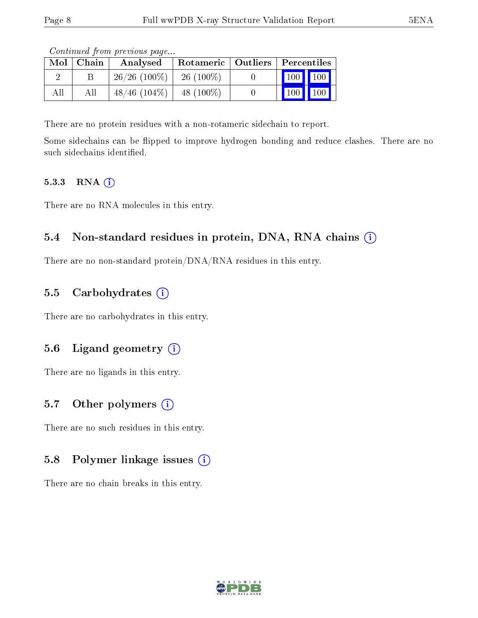| Mol | $\mid$ Chain | contentable provisions pagoni<br>Analysed | Rotameric   Outliers   Percentiles |         |                                 |
|-----|--------------|-------------------------------------------|------------------------------------|---------|---------------------------------|
|     |              | $26/26$ (100\%)                           | $-26(100\%)$                       | 100 100 |                                 |
| All |              | $48/46$ (104\%)                           | $-48(100\%)$                       |         | $\vert$ 100 $\vert$ 100 $\vert$ |

Continued from previous page...

There are no protein residues with a non-rotameric sidechain to report.

Some sidechains can be flipped to improve hydrogen bonding and reduce clashes. There are no such sidechains identified.

#### 5.3.3 RNA [O](https://www.wwpdb.org/validation/2017/XrayValidationReportHelp#rna)i

There are no RNA molecules in this entry.

### 5.4 Non-standard residues in protein, DNA, RNA chains (i)

There are no non-standard protein/DNA/RNA residues in this entry.

### 5.5 Carbohydrates  $(i)$

There are no carbohydrates in this entry.

### 5.6 Ligand geometry (i)

There are no ligands in this entry.

### 5.7 [O](https://www.wwpdb.org/validation/2017/XrayValidationReportHelp#nonstandard_residues_and_ligands)ther polymers  $(i)$

There are no such residues in this entry.

#### 5.8 Polymer linkage issues  $(i)$

There are no chain breaks in this entry.